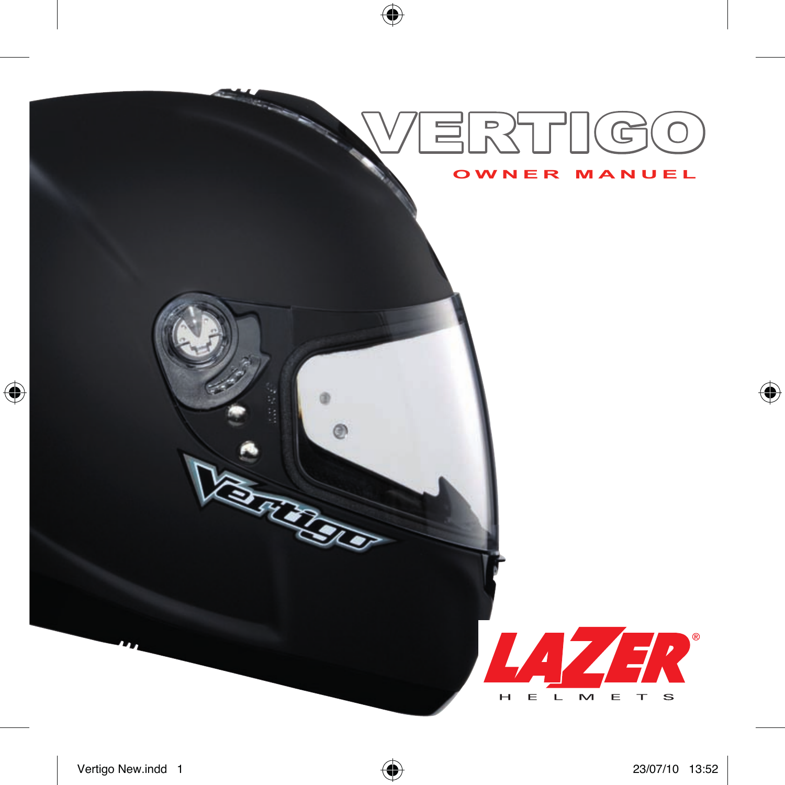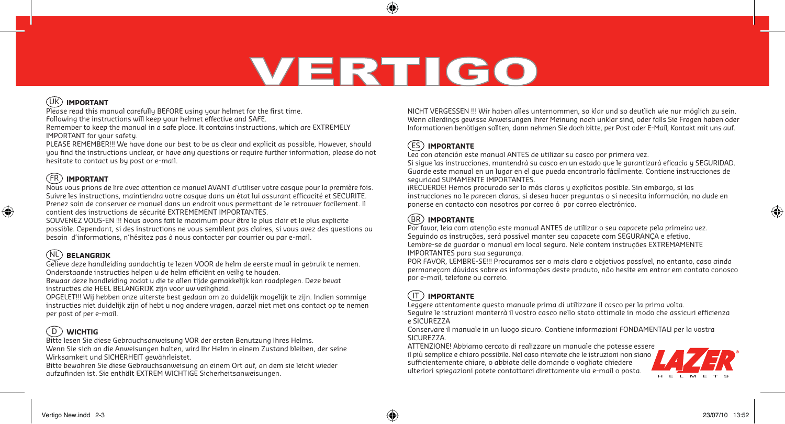# **VERTIGO**

⊕

# UK **IMPORTANT**

Please read this manual carefully BEFORE using your helmet for the first time. Following the instructions will keep your helmet effective and SAFE.

Remember to keep the manual in a safe place. It contains instructions, which are EXTREMELY IMPORTANT for your safety.

PLEASE REMEMBER!!! We have done our best to be as clear and explicit as possible, However, should you find the instructions unclear, or have any questions or require further information, please do not hesitate to contact us by post or e-mail.

# FR **IMPORTANT**

◈

Nous vous prions de lire avec attention ce manuel AVANT d'utiliser votre casque pour la première fois. Suivre les instructions, maintiendra votre casque dans un état lui assurant efficacité et SECURITE. Prenez soin de conserver ce manuel dans un endroit vous permettant de le retrouver facilement. Il contient des instructions de sécurité EXTREMEMENT IMPORTANTES.

SOUVENEZ VOUS-EN !!! Nous avons fait le maximum pour être le plus clair et le plus explicite possible. Cependant, si des instructions ne vous semblent pas claires, si vous avez des questions ou besoin d'informations, n'hésitez pas à nous contacter par courrier ou par e-mail.

# NL **BELANGRIJK**

Gelieve deze handleiding aandachtig te lezen VOOR de helm de eerste maal in gebruik te nemen. Onderstaande instructies helpen u de helm efficiënt en veilig te houden.

Bewaar deze handleiding zodat u die te allen tijde gemakkelijk kan raadplegen. Deze bevat instructies die HEEL BELANGRIJK zijn voor uw veiligheid.

OPGELET!!! Wij hebben onze uiterste best gedaan om zo duidelijk mogelijk te zijn. Indien sommige instructies niet duidelijk zijn of hebt u nog andere vragen, aarzel niet met ons contact op te nemen per post of per e-mail.

# D **WICHTIG**

Bitte lesen Sie diese Gebrauchsanweisung VOR der ersten Benutzung Ihres Helms. Wenn Sie sich an die Anweisungen halten, wird Ihr Helm in einem Zustand bleiben, der seine Wirksamkeit und SICHERHEIT gewährleistet.

Bitte bewahren Sie diese Gebrauchsanweisung an einem Ort auf, an dem sie leicht wieder aufzufinden ist. Sie enthält EXTREM WICHTIGE Sicherheitsanweisungen.

NICHT VERGESSEN !!! Wir haben alles unternommen, so klar und so deutlich wie nur möglich zu sein. Wenn allerdings gewisse Anweisungen Ihrer Meinung nach unklar sind, oder falls Sie Fragen haben oder Informationen benötigen sollten, dann nehmen Sie doch bitte, per Post oder E-Mail, Kontakt mit uns auf.

# ES **IMPORTANTE**

Lea con atención este manual ANTES de utilizar su casco por primera vez.

Si sigue las instrucciones, mantendrá su casco en un estado que le garantizará eficacia y SEGURIDAD. Guarde este manual en un lugar en el que pueda encontrarlo fácilmente. Contiene instrucciones de seguridad SUMAMENTE IMPORTANTES.

¡RECUERDE! Hemos procurado ser lo más claros y explícitos posible. Sin embargo, si las instrucciones no le parecen claras, si desea hacer preguntas o si necesita información, no dude en ponerse en contacto con nosotros por correo ó por correo electrónico.

# **IMPORTANTE** BR

Por favor, leia com atenção este manual ANTES de utilizar o seu capacete pela primeira vez. Seguindo as instruções, será possível manter seu capacete com SEGURANÇA e efetivo. Lembre-se de guardar o manual em local seguro. Nele contem instruções EXTREMAMENTE IMPORTANTES para sua segurança.

POR FAVOR, LEMBRE-SE!!! Procuramos ser o mais claro e objetivos possível, no entanto, caso ainda permaneçam dúvidas sobre as informações deste produto, não hesite em entrar em contato conosco por e-mail, telefone ou correio.

# IT  **IMPORTANTE**

Leggere attentamente questo manuale prima di utilizzare il casco per la prima volta.

Seguire le istruzioni manterrà il vostro casco nello stato ottimale in modo che assicuri efficienza e SICUREZZA

Conservare il manuale in un luogo sicuro. Contiene informazioni FONDAMENTALI per la vostra SICUREZZA.

ATTENZIONE! Abbiamo cercato di realizzare un manuale che potesse essere il più semplice e chiaro possibile. Nel caso riteniate che le istruzioni non siano sufficientemente chiare, o abbiate delle domande o vogliate chiedere ulteriori spiegazioni potete contattarci direttamente via e-mail o posta.



◈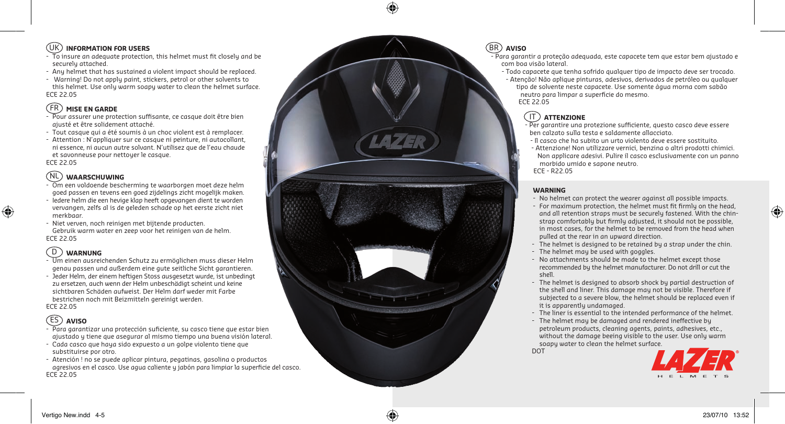## UK **INFORMATION FOR USERS**

- To insure an adequate protection, this helmet must fit closely and be securely attached.
- Any helmet that has sustained a violent impact should be replaced.
- Warning! Do not apply paint, stickers, petrol or other solvents to this helmet. Use only warm soapy water to clean the helmet surface. ECE 22.05

# FR **MISE EN GARDE**

- Pour assurer une protection suffisante, ce casque doit être bien ajusté et être solidement attaché.
- Tout casque qui a été soumis à un choc violent est à remplacer.
- Attention : N'appliquer sur ce casque ni peinture, ni autocollant, ni essence, ni aucun autre solvant. N'utilisez que de l'eau chaude et savonneuse pour nettoyer le casque. ECE 22.05

## NL **WAARSCHUWING**

- Om een voldoende bescherming te waarborgen moet deze helm goed passen en tevens een goed zijdelings zicht mogelijk maken.
- Iedere helm die een hevige klap heeft opgevangen dient te worden vervangen, zelfs al is de geleden schade op het eerste zicht niet merkbaar.
- Niet verven, noch reinigen met bijtende producten. Gebruik warm water en zeep voor het reinigen van de helm. ECE 22.05

# D **WARNUNG**

◈

- Um einen ausreichenden Schutz zu ermöglichen muss dieser Helm genau passen und außerdem eine gute seitliche Sicht garantieren.
- Jeder Helm, der einem heftigen Stoss ausgesetzt wurde, ist unbedingt zu ersetzen, auch wenn der Helm unbeschädigt scheint und keine sichtbaren Schäden aufweist. Der Helm darf weder mit Farbe bestrichen noch mit Beizmitteln gereinigt werden. ECE 22.05

# ES **AVISO**

- Para garantizar una protección suficiente, su casco tiene que estar bien ajustado y tiene que asegurar al mismo tiempo una buena visión lateral.
- Cada casco que haya sido expuesto a un golpe violento tiene que substituirse por otro.
- Atención ! no se puede aplicar pintura, pegatinas, gasolina o productos agresivos en el casco. Use agua caliente y jabón para limpiar la superficie del casco. ECE 22.05

## **AVISO** BR

- Para garantir a proteção adequada, este capacete tem que estar bem ajustado e com boa visão lateral.
- Todo capacete que tenha sofrido qualquer tipo de impacto deve ser trocado.

- Atenção! Não aplique pinturas, adesivos, derivados de petróleo ou qualquer tipo de solvente neste capacete. Use somente água morna com sabão neutro para limpar a superfície do mesmo. ECE 22.05

# IT  **ATTENZIONE**

- Per garantire una protezione sufficiente, questo casco deve essere ben calzato sulla testa e saldamente allacciato.
- Il casco che ha subito un urto violento deve essere sostituito.
- Attenzione! Non utilizzare vernici, benzina o altri prodotti chimici. Non applicare adesivi. Pulire il casco esclusivamente con un panno morbido umido e sapone neutro.

#### **WARNING**

- No helmet can protect the wearer against all possible impacts.
- For maximum protection, the helmet must fit firmly on the head, and all retention straps must be securely fastened. With the chin strap comfortably but firmly adjusted, it should not be possible, in most cases, for the helmet to be removed from the head when pulled at the rear in an upward direction.
- The helmet is designed to be retained by a strap under the chin.
- The helmet may be used with goggles.
- No attachments should be made to the helmet except those recommended by the helmet manufacturer. Do not drill or cut the shell.
- The helmet is designed to absorb shock by partial destruction of the shell and liner. This damage may not be visible. Therefore if subjected to a severe blow, the helmet should be replaced even if it is apparently undamaged.
- The liner is essential to the intended performance of the helmet.
- The helmet may be damaged and rendered ineffective by petroleum products, cleaning agents, paints, adhesives, etc., without the damage beeing visible to the user. Use only warm soapy water to clean the helmet surface.

**DOT** 



 $\bigoplus$ 

ECE - R22.05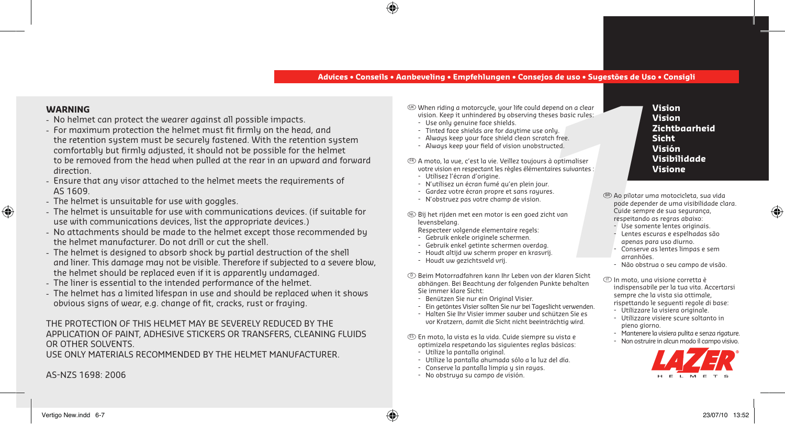#### **Advices • Conseils • Aanbeveling • Empfehlungen • Consejos de uso • Sugestões de Uso • Consigli**

#### **WARNING**

◈

- No helmet can protect the wearer against all possible impacts.
- For maximum protection the helmet must fit firmly on the head, and the retention system must be securely fastened. With the retention system comfortably but firmly adjusted, it should not be possible for the helmet to be removed from the head when pulled at the rear in an upward and forward direction.
- Ensure that any visor attached to the helmet meets the requirements of AS 1609.
- The helmet is unsuitable for use with goggles.
- The helmet is unsuitable for use with communications devices. (if suitable for use with communications devices, list the appropriate devices.)
- No attachments should be made to the helmet except those recommended by the helmet manufacturer. Do not drill or cut the shell.
- The helmet is designed to absorb shock by partial destruction of the shell and liner. This damage may not be visible. Therefore if subjected to a severe blow, the helmet should be replaced even if it is apparently undamaged.
- The liner is essential to the intended performance of the helmet.
- The helmet has a limited lifespan in use and should be replaced when it shows obvious signs of wear, e.g. change of fit, cracks, rust or fraying.

#### THE PROTECTION OF THIS HELMET MAY BE SEVERELY REDUCED BY THE APPLICATION OF PAINT, ADHESIVE STICKERS OR TRANSFERS, CLEANING FLUIDS OR OTHER SOLVENTS.

USE ONLY MATERIALS RECOMMENDED BY THE HELMET MANUFACTURER.

AS-NZS 1698: 2006

UK When riding a motorcycle, your life could depend on a clear vision. Keep it unhindered by observing theses basic rules:

- Use only genuine face shields.
- Tinted face shields are for daytime use only.
- Always keep your face shield clean scratch free.
- Always keep your field of vision unobstructed.

FR A moto, la vue, c'est la vie. Veillez toujours à optimaliser votre vision en respectant les règles élémentaires suivantes :

- Utilisez l'écran d'origine.
- N'utilisez un écran fumé qu'en plein jour.
- Gardez votre écran propre et sans rayures.
- N'obstruez pas votre champ de vision.

NL Bij het rijden met een motor is een goed zicht van levensbelang.

- Respecteer volgende elementaire regels:
- Gebruik enkele originele schermen.
- Gebruik enkel getinte schermen overdag.
- Houdt altijd uw scherm proper en krasvrij.
- Houdt uw gezichtsveld vrij.
- D Beim Motorradfahren kann Ihr Leben von der klaren Sicht abhängen. Bei Beachtung der folgenden Punkte behalten Sie immer klare Sicht:
	- Benützen Sie nur ein Original Visier.
	- Ein getöntes Visier sollten Sie nur bei Tageslicht verwenden.
	- Halten Sie Ihr Visier immer sauber und schützen Sie es vor Kratzern, damit die Sicht nicht beeinträchtig wird.

ES En moto, la vista es la vida. Cuide siempre su vista e optimizela respetando las siguientes reglas básicas:

- Utilize la pantalla original.
- Utilize la pantalla ahumada sólo a la luz del día.
- Conserve la pantalla limpia y sin rayas.
- No obstruya su campo de visión.

**Vision Vision Zichtbaarheid Sicht Visión Visibilidade Visione**

- d depend on a clear<br>
theses basic rules:<br>
ratch free.<br>
structed.<br>
urs à optimaliser<br>
entaires suivantes:<br> **1**<br>
uures.<br> **1**<br>
2 icht van<br>
2 icht van<br>
2 icht van<br>
2 icht van<br>
2 icht van<br>
2 iches exernation of the sexura<br>
2 ic  $^{\rm \textregistered}$  Ao pilotar uma motocicleta, sua vida pode depender de uma visibilidade clara. Cuide sempre de sua segurança, respeitando as regras abaixo: - Use somente lentes originais.
	- Lentes escuras e espelhadas são apenas para uso diurno.
	- Conserve as lentes limpas e sem arranhões.
	- Não obstrua o seu campo de visão.
	- $\mathbb D$  In moto, una visione corretta è indispensabile per la tua vita. Accertarsi sempre che la vista sia ottimale, rispettando le seguenti regole di base:
	- Utilizzare la visiera originale.
	- Utilizzare visiere scure soltanto in pieno giorno.
	- Mantenere la visiera pulita e senza rigature.
	- Non ostruire in alcun modo il campo visivo.



⊕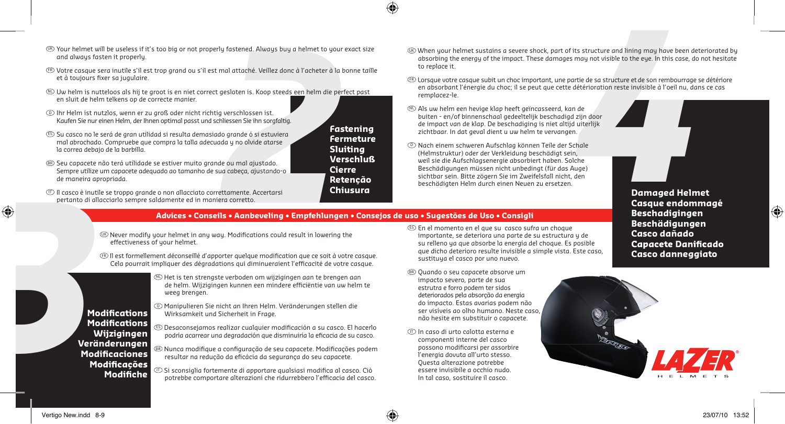- Iy fastened. Always buy a helmet to your exact siz<br>
mal attaché. Veillez donc à l'acheter à la bonne taï<br>
gesloten is. Koop steeds een helm die perfect past<br>
guerschlossen ist.<br>
die grande ó si estuviera<br>
dia y no olvide a and always fasten it properly.
- FR Votre casque sera inutile s'il est trop grand ou s'il est mal attaché. Veillez donc à l'acheter à la bonne taille et à toujours fixer sa jugulaire.
- NL Uw helm is nutteloos als hij te groot is en niet correct gesloten is. Koop steeds een helm die perfect past en sluit de helm telkens op de correcte manier.
- D Ihr Helm ist nutzlos, wenn er zu groß oder nicht richtig verschlossen ist. Kaufen Sie nur einen Helm, der Ihnen optimal passt und schliessen Sie ihn sorgfaltig.
- ES Su casco no le será de gran utilidad si resulta demasiado grande ó si estuviera mal abrochado. Compruebe que compra la talla adecuada y no olvide atarse la correa debajo de la barbilla.
- $\mathbb B$  Seu capacete não terá utilidade se estiver muito grande ou mal ajustado. Sempre utilize um capacete adequado ao tamanho de sua cabeça, ajustando-o de maneira apropriada.
- $\mathbb D$  Il casco è inutile se troppo grande o non allacciato correttamente. Accertarsi pertanto di allacciarlo sempre saldamente ed in maniera corretto. **3**<br>
Il casco è inuti<br>
pertanto di all<br>
pertanto di all<br>
pertanto di all<br>
pertanto di all<br>
pertanto di all<br> **Mod**<br>
Mod<br>
Mod<br>
Mod

effectiveness of your helmet.

- $\overline{\mathfrak{B}}$  When your helmet sustains a severe shock, part of its structure and lining may have been deteriorated by absorbing the energy of the impact. These damages may not visible to the eye. In this case, do not hesitate to replace it.
- FR Lorsque votre casque subit un choc important, une partie de sa structure et de son rembourrage se détériore en absorbant l'énergie du choc; il se peut que cette détérioration reste invisible à l'oeil nu, dans ce cas remplacez-le.
- NL Als uw helm een hevige klap heeft geïncasseerd, kan de buiten - en/of binnenschaal gedeeltelijk beschadigd zijn door de impact van de klap. De beschadiging is niet altijd uiterlijk zichtbaar. In dat geval dient u uw helm te vervangen.
- <table>\n<tbody>\n<tr>\n<th>5) Our Internet will be useless if it's too big or not properly fastened. Always bug a helimett to your exact size and always faster in property.\n </th>\n</tr>\n<tr>\n<td>6) We then your helimett's stationary to the most one time in the second year is a two time. These damages may not visible to the eye. that case, do not be the one time in the second year, the second year is the two time. The second year is the two time. The second year is the two time. The second year is the two time. The second year is the two time. The second year is the two time. The second year is the two time. The second year is the two time. The second year is the two time. The second year is the two time. The second year is the two time. The second year is the two time. The second year is the two time. The second year is the two <sup>D</sup> Nach einem schweren Aufschlag können Teile der Schale (Helmstruktur) oder der Verkleidung beschädigt sein, weil sie die Aufschlagsenergie absorbiert haben. Solche Beschädigungen müssen nicht unbedingt (für das Auge) sichtbar sein. Bitte zögern Sie im Zweifelsfall nicht, den beschädigten Helm durch einen Neuen zu ersetzen.
	- **Damaged Helmet Casque endommagé Capacete Danificado Casco danneggiato**

**Beschadigingen Beschädigungen Casco dañado**

#### **Modifiche**

NL Het is ten strengste verboden om wijzigingen aan te brengen aan de helm. Wijzigingen kunnen een mindere efficiëntie van uw helm te weeg brengen.

**Advices • Conseils • Aanbeveling • Empfehlungen • Consejos de uso • Sugestões de Uso • Consigli**

**Fastening Fermeture Sluiting Verschluß Cierre**

D Manipulieren Sie nicht an Ihren Helm. Veränderungen stellen die Wirksamkeit und Sicherheit in Frage. **Modifications** 

 $\mathbb{Q}$  Never modify your helmet in any way. Modifications could result in lowering the

FR Il est formellement déconseillé d'apporter quelque modification que ce soit à votre casque. Cela pourrait impliquer des dégradations qui diminueraient l'efficacité de votre casque.

- ES Desaconsejamos realizar cualquier modificación a su casco. El hacerlo podría acarrear una degradación que disminuiría la eficacia de su casco. **Modifications Wijzigingen**
- $^{\circledR}$  Nunca modifique a configuração de seu capacete. Modificações podem resultar na redução da eficácia da segurança do seu capacete. **Veränderungen Modificaciones** 
	- $\mathbb D$  Si sconsiglia fortemente di apportare qualsiasi modifica al casco. Ciò potrebbe comportare alterazioni che ridurrebbero l'efficacia del casco.
- ES En el momento en el que su casco sufra un choque importante, se deteriora una parte de su estructura y de su relleno ya que absorbe la energía del choque. Es posible que dicho deterioro resulte invisible a simple vista. Este caso, sustituya el casco por uno nuevo.
- $^{\circledR}$  Quando o seu capacete absorve um impacto severo, parte de sua estrutra e forro podem ter sidos deteriorados pela absorção da energia do impacto. Estas avarias podem não ser visíveis ao olho humano. Neste caso, não hesite em substituir o capacete.
- $\mathbb D$  In caso di urto calotta esterna e componenti interne del casco possono modificarsi per assorbire l'energia dovuta all'urto stesso. Questa alterazione potrebbe essere invisibile a occhio nudo. In tal caso, sostituire il casco.



 $|\mathbf{\oplus}% \mathbf{e}_{i}|\leq 1/2$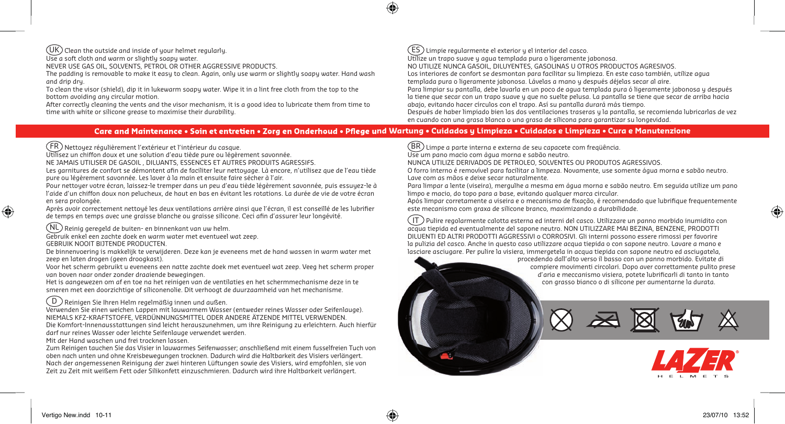#### $(UK)$  Clean the outside and inside of your helmet regularly.

Use a soft cloth and warm or slightly soapy water.

NEVER USE GAS OIL, SOLVENTS, PETROL OR OTHER AGGRESSIVE PRODUCTS.

The padding is removable to make it easy to clean. Again, only use warm or slightly soapy water. Hand wash and drip dry.

To clean the visor (shield), dip it in lukewarm soapy water. Wipe it in a lint free cloth from the top to the bottom avoiding any circular motion.

After correctly cleaning the vents and the visor mechanism, it is a good idea to lubricate them from time to time with white or silicone grease to maximise their durability.

#### $(\mathsf{ES})$  Limpie regularmente el exterior y el interior del casco.

Utilize un trapo suave y agua templada pura o ligeramente jabonosa. NO UTILIZE NUNCA GASOIL, DILUYENTES, GASOLINAS U OTROS PRODUCTOS AGRESIVOS. Los interiores de confort se desmontan para facilitar su limpieza. En este caso también, utilize agua templada pura o ligeramente jabonosa. Lávelas a mano y después déjelas secar al aire. Para limpiar su pantalla, debe lavarla en un poco de agua templada pura ó ligeramente jabonosa y después la tiene que secar con un trapo suave y que no suelte pelusa. La pantalla se tiene que secar de arriba hacia abajo, evitando hacer círculos con el trapo. Así su pantalla durará más tiempo. Después de haber limpiado bien las dos ventilaciones traseras y la pantalla, se recomienda lubricarlas de vez en cuando con una grasa blanca o una grasa de silicona para garantizar su longevidad.

#### Care and Maintenance • Soin et entretien • Zora en Onderhoud • Pfleae und Wartuna • Cuidados u Limpieza • Cuidados e Limpieza • Cura e Manutenzione

FR Nettoyez régulièrement l'extérieur et l'intérieur du casque.

Utilisez un chiffon doux et une solution d'eau tiède pure ou légèrement savonnée.

NE JAMAIS UTILISER DE GASOIL , DILUANTS, ESSENCES ET AUTRES PRODUITS AGRESSIFS.

Les garnitures de confort se démontent afin de faciliter leur nettoyage. Là encore, n'utilisez que de l'eau tiède pure ou légèrement savonnée. Les laver à la main et ensuite faire sécher à l'air.

Pour nettoyer votre écran, laissez-le tremper dans un peu d'eau tiède légèrement savonnée, puis essuyez-le à l'aide d'un chiffon doux non pelucheux, de haut en bas en évitant les rotations. La durée de vie de votre écran en sera prolongée.

Après avoir correctement nettoyé les deux ventilations arrière ainsi que l'écran, il est conseillé de les lubrifier de temps en temps avec une graisse blanche ou graisse silicone. Ceci afin d'assurer leur longévité.

NL Reinig geregeld de buiten- en binnenkant van uw helm.

Gebruik enkel een zachte doek en warm water met eventueel wat zeep. GEBRUIK NOOIT BIJTENDE PRODUCTEN.

De binnenvoering is makkelijk te verwijderen. Deze kan je eveneens met de hand wassen in warm water met zeep en laten drogen (geen droogkast).

Voor het scherm gebruikt u eveneens een natte zachte doek met eventueel wat zeep. Veeg het scherm proper van boven naar onder zonder draaiende bewegingen.

Het is aangewezen om af en toe na het reinigen van de ventilaties en het schermmechanisme deze in te smeren met een doorzichtige of siliconenolie. Dit verhoogt de duurzaamheid van het mechanisme.

#### $\big($  D  $\big)$  Reinigen Sie Ihren Helm regelmäßig innen und außen.

Verwenden Sie einen weichen Lappen mit lauwarmem Wasser (entweder reines Wasser oder Seifenlauge). NIEMALS KFZ-KRAFTSTOFFE, VERDÜNNUNGSMITTEL ODER ANDERE ÄTZENDE MITTEL VERWENDEN. Die Komfort-Innenausstattungen sind leicht herauszunehmen, um ihre Reinigung zu erleichtern. Auch hierfür darf nur reines Wasser oder leichte Seifenlauge verwendet werden.

Mit der Hand waschen und frei trocknen lassen.

Zum Reinigen tauchen Sie das Visier in lauwarmes Seifenwasser; anschließend mit einem fusselfreien Tuch von oben nach unten und ohne Kreisbewegungen trocknen. Dadurch wird die Haltbarkeit des Visiers verlängert. Nach der angemessenen Reinigung der zwei hinteren Lüftungen sowie des Visiers, wird empfohlen, sie von Zeit zu Zeit mit weißem Fett oder Silikonfett einzuschmieren. Dadurch wird ihre Haltbarkeit verlängert.

 $|\text{BR}\rangle$  Limpe a parte interna e externa de seu capacete com freqüência.

Use um pano macio com água morna e sabão neutro.

NUNCA UTILIZE DERIVADOS DE PETROLEO, SOLVENTES OU PRODUTOS AGRESSIVOS.

O forro interno é removível para facilitar a limpeza. Novamente, use somente água morna e sabão neutro. Lave com as mãos e deixe secar naturalmente.

Para limpar a lente (viseira), mergulhe a mesma em água morna e sabão neutro. Em seguida utilize um pano limpo e macio, do topo para a base, evitando qualquer marca circular.

Após limpar corretamente a viseira e o mecanismo de fixação, é recomendado que lubrifique frequentemente este mecanismo com graxa de silicone branco, maximizando a durabilidade.

IT Pulire regolarmente calotta esterna ed interni del casco. Utilizzare un panno morbido inumidito con acqua tiepida ed eventualmente del sapone neutro. NON UTILIZZARE MAI BEZINA, BENZENE, PRODOTTI DILUENTI ED ALTRI PRODOTTI AGGRESSIVI o CORROSIVI. Gli interni possono essere rimossi per favorire la pulizia del casco. Anche in questo caso utilizzare acqua tiepida o con sapone neutro. Lavare a mano e lasciare asciugare. Per pulire la visiera, immergetela in acqua tiepida con sapone neutro ed asciugatela,

> procedendo dall'alto verso il basso con un panno morbido. Evitate di proceden compiere movimenti circolari. Dopo aver correttamente pulito prese com d'aria e meccanismo visiera, potete lubrificarli di tanto in tanto d' con grasso bianco o di silicone per aumentarne la durata. c

◈

€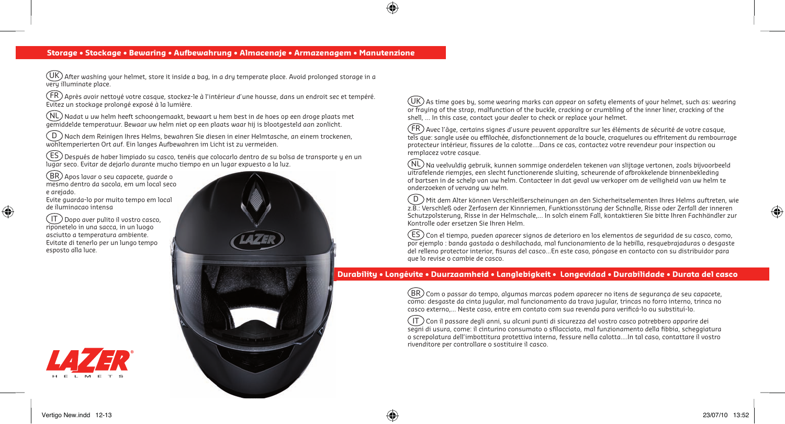#### **Storage • Stockage • Bewaring • Aufbewahrung • Almacenaje • Armazenagem • Manutenzione**

企



 $(\overline{\text{UK}})$  After washing your helmet, store it inside a bag, in a dry temperate place. Avoid prolonged storage in a very illuminate place.

 $F(\widehat{FR})$  Après avoir nettoyé votre casque, stockez-le à l'intérieur d'une housse, dans un endroit sec et tempéré. Evitez un stockage prolongé exposé à la lumière.

 $(\widehat{\mathsf{NL}})$  Nadat u uw helm heeft schoongemaakt, bewaart u hem best in de hoes op een droge plaats met gemiddelde temperatuur. Bewaar uw helm niet op een plaats waar hij is blootgesteld aan zonlicht.

 $\mathcal{\left(}\mathsf{D}\right)$ Nach dem Reinigen Ihres Helms, bewahren Sie diesen in einer Helmtasche, an einem trockenen, wohltemperierten Ort auf. Ein langes Aufbewahren im Licht ist zu vermeiden.

 $(\overline{\sf{ES}})$  Después de haber limpiado su casco, tenéis que colocarlo dentro de su bolsa de transporte y en un lugar seco. Evitar de dejarlo durante mucho tiempo en un lugar expuesto a la luz.

BR) Apos lavar o seu capacete, guarde o mesmo dentro da sacola, em um local seco<br>e arejado.<br>Evite guarda-lo por muito tempo em local e arejado.

Evite guarda-lo por muito tempo em local de iluminacao intensa

IT Dopo aver pulito il vostro casco, riponetelo in una sacca, in un luogo asciutto a temperatura ambiente. Evitate di tenerlo per un lungo tempo esposto alla luce.

◈

 $(\overline{\sf UK})$  As time goes by, some wearing marks can appear on safety elements of your helmet, such as: wearing or fraying of the strap, malfunction of the buckle, cracking or crumbling of the inner liner, cracking of the shell, ... In this case, contact your dealer to check or replace your helmet.

FR Avec l'âge, certains signes d'usure peuvent apparaître sur les éléments de sécurité de votre casque, tels que: sangle usée ou effilochée, disfonctionnement de la boucle, craquelures ou effritement du rembourrage protecteur intérieur, fissures de la calotte….Dans ce cas, contactez votre revendeur pour inspection ou remplacez votre casque.

NL Na veelvuldig gebruik, kunnen sommige onderdelen tekenen van slijtage vertonen, zoals bijvoorbeeld uitrafelende riempjes, een slecht functionerende sluiting, scheurende of afbrokkelende binnenbekleding of bartsen in de schelp van uw helm. Contacteer in dat geval uw verkoper om de veiligheid van uw helm te onderzoeken of vervang uw helm.

 $\left(\overline{\mathtt{D}}\right)$ Mit dem Alter können Verschleißerscheinungen an den Sicherheitselementen Ihres Helms auftreten, wie z.B.: Verschleß oder Zerfasern der Kinnriemen, Funktionsstörung der Schnalle, Risse oder Zerfall der inneren Schutzpolsterung, Risse in der Helmschale,... In solch einem Fall, kontaktieren Sie bitte Ihren Fachhändler zur Kontrolle oder ersetzen Sie Ihren Helm.

 $(\widehat{\mathsf{ES}})$ Con el tiempo, pueden aparecer signos de deterioro en los elementos de seguridad de su casco, como, por ejemplo : banda gastada o deshilachada, mal funcionamiento de la hebilla, resquebrajaduras o desgaste del relleno protector interior, fisuras del casco…En este caso, póngase en contacto con su distribuidor para que lo revise o cambie de casco.

#### **Durability • Longévite • Duurzaamheid • Langlebigkeit • Longevidad • Durabilidade • Durata del casco**

 $\ket{\text{BR}}$  Com o passar do tempo, algumas marcas podem aparecer no itens de segurança de seu capacete, como: desgaste da cinta jugular, mal funcionamento da trava jugular, trincas no forro interno, trinca no casco externo,... Neste caso, entre em contato com sua revenda para verificá-lo ou substituí-lo.

IT Con il passare degli anni, su alcuni punti di sicurezza del vostro casco potrebbero apparire dei segni di usura, come: il cinturino consumato o sfilacciato, mal funzionamento della fibbia, scheggiatura o screpolatura dell'imbottitura protettiva interna, fessure nella calotta....In tal caso, contattare il vostro rivenditore per controllare o sostituire il casco.

◈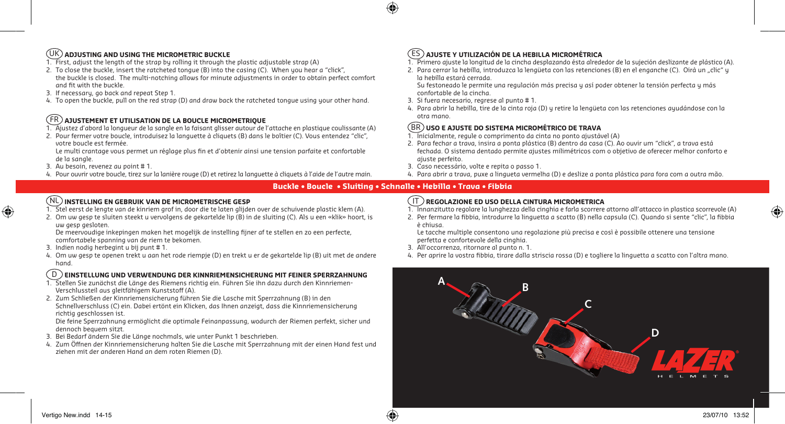## UK **ADJUSTING AND USING THE MICROMETRIC BUCKLE**

- 1. First, adjust the length of the strap by rolling it through the plastic adjustable strap (A)
- 2. To close the buckle, insert the ratcheted tongue (B) into the casing (C). When you hear a "click", the buckle is closed. The multi-notching allows for minute adjustments in order to obtain perfect comfort and fit with the buckle.
- 3. If necessary, go back and repeat Step 1.
- 4. To open the buckle, pull on the red strap (D) and draw back the ratcheted tongue using your other hand.

## FR **AJUSTEMENT ET UTILISATION DE LA BOUCLE MICROMETRIQUE**

- 1. Ajustez d'abord la longueur de la sangle en la faisant glisser autour de l'attache en plastique coulissante (A)
- 2. Pour fermer votre boucle, introduisez la languette à cliquets (B) dans le boîtier (C). Vous entendez "clic", votre boucle est fermée.

 Le multi crantage vous permet un réglage plus fin et d'obtenir ainsi une tension parfaite et confortable de la sangle.

3. Au besoin, revenez au point # 1.

◈

4. Pour ouvrir votre boucle, tirez sur la lanière rouge (D) et retirez la languette à cliquets à l'aide de l'autre main.

#### ES **AJUSTE Y UTILIZACIÓN DE LA HEBILLA MICROMÉTRICA**

1. Primero ajuste la longitud de la cincha desplazando ésta alrededor de la sujeción deslizante de plástico (A).

2. Para cerrar la hebilla, introduzca la lengüeta con las retenciones (B) en el enganche (C). Oirá un "clic" y la hebilla estará cerrada.

Su festoneado le permite una regulación más precisa y así poder obtener la tensión perfecta y más confortable de la cincha.

- 3. Si fuera necesario, regrese al punto # 1.
- 4. Para abrir la hebilla, tire de la cinta roja (D) y retire la lengüeta con las retenciones ayudándose con la otra mano.

#### **USO E AJUSTE DO SISTEMA MICROMÉTRICO DE TRAVA** BR

- 1. Inicialmente, regule o comprimento da cinta no ponto ajustável (A)
- 2. Para fechar a trava, insira a ponta plástica (B) dentro da casa (C). Ao ouvir um "click", a trava está fechada. O sistema dentado permite ajustes milimétricos com o objetivo de oferecer melhor conforto e ajuste perfeito.
- 3. Caso necessário, volte e repita o passo 1.
- 4. Para abrir a trava, puxe a lingueta vermelha (D) e deslize a ponta plástica para fora com a outra mão.

#### **Buckle • Boucle • Sluiting • Schnalle • Hebilla • Trava • Fibbia**

企

## NL **INSTELLING EN GEBRUIK VAN DE MICROMETRISCHE GESP**

- 1. Stel eerst de lengte van de kinriem grof in, door die te laten glijden over de schuivende plastic klem (A).
- 2. Om uw gesp te sluiten steekt u vervolgens de gekartelde lip (B) in de sluiting (C). Als u een «klik» hoort, is uw gesp gesloten.

 De meervoudige inkepingen maken het mogelijk de instelling fijner af te stellen en zo een perfecte, comfortabele spanning van de riem te bekomen.

- 3. Indien nodig herbegint u bij punt # 1.
- 4. Om uw gesp te openen trekt u aan het rode riempje (D) en trekt u er de gekartelde lip (B) uit met de andere hand.

#### D **EINSTELLUNG UND VERWENDUNG DER KINNRIEMENSICHERUNG MIT FEINER SPERRZAHNUNG**

- 1. Stellen Sie zunächst die Länge des Riemens richtig ein. Führen Sie ihn dazu durch den Kinnriemen- Verschlussteil aus gleitfähigem Kunststoff (A).
- 2. Zum Schließen der Kinnriemensicherung führen Sie die Lasche mit Sperrzahnung (B) in den Schnellverschluss (C) ein. Dabei ertönt ein Klicken, das Ihnen anzeigt, dass die Kinnriemensicherung richtig geschlossen ist.

 Die feine Sperrzahnung ermöglicht die optimale Feinanpassung, wodurch der Riemen perfekt, sicher und dennoch bequem sitzt.

- 3. Bei Bedarf ändern Sie die Länge nochmals, wie unter Punkt 1 beschrieben.
- 4. Zum Öffnen der Kinnriemensicherung halten Sie die Lasche mit Sperrzahnung mit der einen Hand fest und ziehen mit der anderen Hand an dem roten Riemen (D).

#### IT **REGOLAZIONE ED USO DELLA CINTURA MICROMETRICA**

1. Innanzitutto regolare la lunghezza della cinghia e farla scorrere attorno all'attacco in plastica scorrevole (A)

2. Per fermare la fibbia, introdurre la linguetta a scatto (B) nella capsula (C). Quando si sente "clic", la fibbia è chiusa.

 Le tacche multiple consentono una regolazione più precisa e così è possibile ottenere una tensione perfetta e confortevole della cinghia.

- 3. All'occorrenza, ritornare al punto n. 1.
- 4. Per aprire la vostra fibbia, tirare dalla striscia rossa (D) e togliere la linguetta a scatto con l'altra mano.



⊕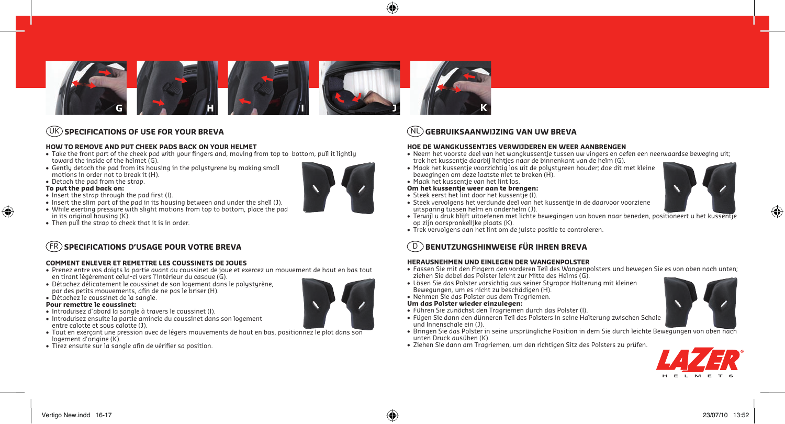

#### UK **SPECIFICATIONS OF USE FOR YOUR BREVA**

#### **HOW TO REMOVE AND PUT CHEEK PADS BACK ON YOUR HELMET**

- Take the front part of the cheek pad with your fingers and, moving from top to bottom, pull it lightly toward the inside of the helmet (G).
- Gently detach the pad from its housing in the polystyrene by making small motions in order not to break it (H).
- Detach the pad from the strap.

#### **To put the pad back on:**

◈

- Insert the strap through the pad first (I).
- Insert the slim part of the pad in its housing between and under the shell (J).
- While exerting pressure with slight motions from top to bottom, place the pad
- in its original housing (K).
- Then pull the strap to check that it is in order.

## **SPECIFICATIONS D'USAGE POUR VOTRE BREVA**

#### **COMMENT ENLEVER ET REMETTRE LES COUSSINETS DE JOUES**

- Prenez entre vos doigts la partie avant du coussinet de joue et exercez un mouvement de haut en bas tout en tirant légèrement celui-ci vers l'intérieur du casque (G).
- Détachez délicatement le coussinet de son logement dans le polystyrène, par des petits mouvements, afin de ne pas le briser (H).
- Détachez le coussinet de la sangle.

#### **Pour remettre le coussinet:**

- Introduisez d'abord la sangle à travers le coussinet (I).
- Introduisez ensuite la partie amincie du coussinet dans son logement entre calotte et sous calotte (J).
- Tout en exerçant une pression avec de légers mouvements de haut en bas, positionnez le plot dans son logement d'origine (K).
- Tirez ensuite sur la sangle afin de vérifier sa position.

#### • Neem het voorste deel van het wangkussentje tussen uw vingers en oefen een neerwaardse beweging uit; trek het kussentje daarbij lichtjes naar de binnenkant van de helm (G). • Maak het kussentje voorzichtig los uit de polystyreen houder; doe dit met kleine bewegingen om deze laatste niet te breken (H). • Maak het kussentje van het lint los.

⊕

#### **Om het kussentje weer aan te brengen:**

- Steek eerst het lint door het kussentje (I).
- Steek vervolgens het verdunde deel van het kussentje in de daarvoor voorziene uitsparing tussen helm en onderhelm (J).

**HOE DE WANGKUSSENTJES VERWIJDEREN EN WEER AANBRENGEN**

- Terwijl u druk blijft uitoefenen met lichte bewegingen van boven naar beneden, positioneert u het kussentje op zijn oorspronkelijke plaats (K).
- Trek vervolgens aan het lint om de juiste positie te controleren.

## D **BENUTZUNGSHINWEISE FÜR IHREN BREVA**

NL **GEBRUIKSAANWIJZING VAN UW BREVA**

#### **HERAUSNEHMEN UND EINLEGEN DER WANGENPOLSTER**

- Fassen Sie mit den Fingern den vorderen Teil des Wangenpolsters und bewegen Sie es von oben nach unten; ziehen Sie dabei das Polster leicht zur Mitte des Helms (G).
- Lösen Sie das Polster vorsichtig aus seiner Styropor Halterung mit kleinen Bewegungen, um es nicht zu beschädigen (H).
- Nehmen Sie das Polster aus dem Tragriemen.

#### **Um das Polster wieder einzulegen:**

- Führen Sie zunächst den Tragriemen durch das Polster (I).
- Fügen Sie dann den dünneren Teil des Polsters in seine Halterung zwischen Schale und Innenschale ein (J).
- Bringen Sie das Polster in seine ursprüngliche Position in dem Sie durch leichte Bewegungen von oben nach unten Druck ausüben (K).
- Ziehen Sie dann am Tragriemen, um den richtigen Sitz des Polsters zu prüfen.





♠



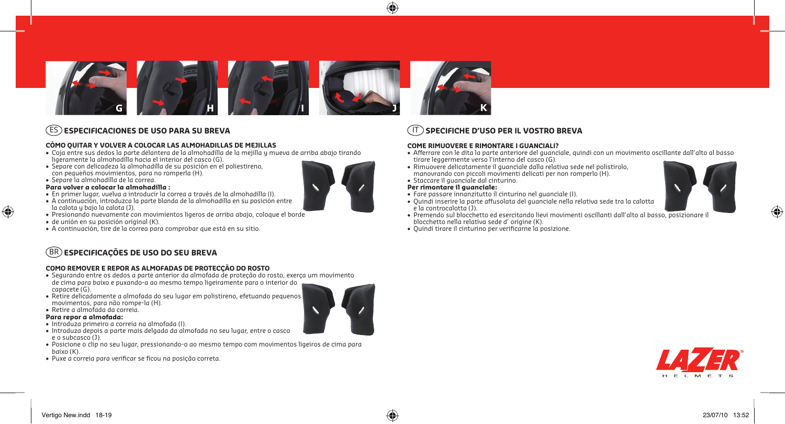

#### ES **ESPECIFICACIONES DE USO PARA SU BREVA**

#### **CÓMO QUITAR Y VOLVER A COLOCAR LAS ALMOHADILLAS DE MEJILLAS**

- Coja entre sus dedos la parte delantera de la almohadilla de la mejilla y mueva de arriba abajo tirando ligeramente la almohadilla hacia el interior del casco (G).
- Separe con delicadeza la almohadilla de su posición en el poliestireno, con pequeños movimientos, para no romperla (H).
- Separe la almohadilla de la correa.

#### **Para volver a colocar la almohadilla :**

- En primer lugar, vuelva a introducir la correa a través de la almohadilla (I).
- A continuación, introduzca la parte blanda de la almohadilla en su posición entre
- la calota y bajo la calota (J).
- Presionando nuevamente con movimientos ligeros de arriba abajo, coloque el borde
- de unión en su posición original (K).
- A continuación, tire de la correa para comprobar que está en su sitio.

# BR **ESPECIFICAÇÕES DE USO DO SEU BREVA**

#### **COMO REMOVER E REPOR AS ALMOFADAS DE PROTECÇÃO DO ROSTO**

- Segurando entre os dedos a parte anterior da almofada de proteção do rosto, exerça um movimento de cima para baixo e puxando-a ao mesmo tempo ligeiramente para o interior do capacete (G).
- Retire delicadamente a almofada do seu lugar em polistireno, efetuando pequenos movimentos, para não rompe-la (H).
- Retire a almofada da correia.

#### **Para repor a almofada:**

◈

- Introduza primeiro a correia na almofada (I).
- Introduza depois a parte mais delgada da almofada no seu lugar, entre o casco e o subcasco (J).
- Posicione o clip no seu lugar, pressionando-o ao mesmo tempo com movimentos ligeiros de cima para baixo (K).
- Puxe a correia para verificar se ficou na posição correta.

#### manovrando con piccoli movimenti delicati per non romperlo (H). • Staccare il guanciale dal cinturino. **Per rimontare il guanciale:** • Fare passare innanzitutto il cinturino nel guanciale (I). • Quindi inserire la parte affusolata del guanciale nella relativa sede tra la calotta e la controcalotta (J).

⊕

- Premendo sul blocchetto ed esercitando lievi movimenti oscillanti dall'alto al basso, posizionare il blocchetto nella relativa sede d' origine (K).
- Quindi tirare il cinturino per verificarne la posizione.

**COME RIMUOVERE E RIMONTARE I GUANCIALI?**

IT **SPECIFICHE D'USO PER IL VOSTRO BREVA**

tirare leggermente verso l'interno del casco (G).







⊕

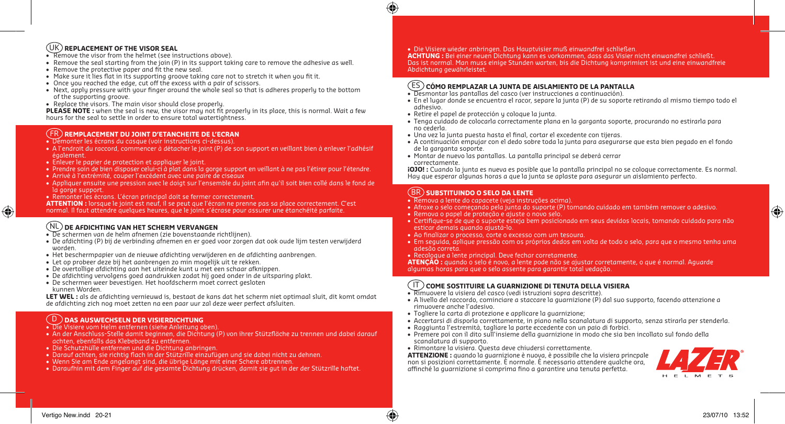#### UK **REPLACEMENT OF THE VISOR SEAL**

- Remove the visor from the helmet (see instructions above).
- Remove the seal starting from the join (P) in its support taking care to remove the adhesive as well.
- Remove the protective paper and fit the new seal.
- Make sure it lies flat in its supporting groove taking care not to stretch it when you fit it.
- Once you reached the edge, cut off the excess with a pair of scissors.
- Next, apply pressure with your finger around the whole seal so that is adheres properly to the bottom of the supporting groove.
- Replace the visors. The main visor should close properly.

**PLEASE NOTE:** when the seal is new, the visor may not fit properly in its place, this is normal. Wait a few hours for the seal to settle in order to ensure total watertightness.

#### FR **REMPLACEMENT DU JOINT D'ETANCHEITE DE L'ECRAN**

- Démonter les écrans du casque (voir instructions ci-dessus).
- A l'endroit du raccord, commencer à détacher le joint (P) de son support en veillant bien à enlever l'adhésif également.
- Enlever le papier de protection et appliquer le joint.
- Prendre soin de bien disposer celui-ci à plat dans la gorge support en veillant à ne pas l'étirer pour l'étendre.
- Arrivé à l'extrémité, couper l'excédent avec une paire de ciseaux
- Appliquer ensuite une pression avec le doigt sur l'ensemble du joint afin qu'il soit bien collé dans le fond de la gorge support.
- Remonter les écrans. L'écran principal doit se fermer correctement.
- **ATTENTION :** lorsque le joint est neuf, il se peut que l'écran ne prenne pas sa place correctement. C'est
- normal. Il faut attendre quelques heures, que le joint s'écrase pour assurer une étanchéité parfaite.

#### NL **DE AFDICHTING VAN HET SCHERM VERVANGEN**

- De schermen van de helm afnemen (zie bovenstaande richtlijnen).
- De afdichting (P) bij de verbinding afnemen en er goed voor zorgen dat ook oude lijm testen verwijderd worden.
- Het beschermpapier van de nieuwe afdichting verwijderen en de afdichting aanbrengen.
- Let op probeer deze bij het aanbrengen zo min mogelijk uit te rekken.
- De overtollige afdichting aan het uiteinde kunt u met een schaar afknippen.
- De afdichting vervolgens goed aandrukken zodat hij goed onder in de uitsparing plakt.
- De schermen weer bevestigen. Het hoofdscherm moet correct gesloten kunnen Worden.

**LET WEL :** als de afdichting vernieuwd is, bestaat de kans dat het scherm niet optimaal sluit, dit komt omdat de afdichting zich nog moet zetten na een paar uur zal deze weer perfect afsluiten.

#### D **DAS AUSWECHSELN DER VISIERDICHTUNG**

- Die Visiere vom Helm entfernen (siehe Anleitung oben).
- An der Anschluss-Stelle damit beginnen, die Dichtung (P) von ihrer Stützfläche zu trennen und dabei darauf achten, ebenfalls das Klebeband zu entfernen.
- Die Schutzhülle entfernen und die Dichtung anbringen.
- Darauf achten, sie richtig flach in der Stützrille einzufügen und sie dabei nicht zu dehnen.
- Wenn Sie am Ende angelangt sind, die übrige Länge mit einer Schere abtrennen.
- Daraufhin mit dem Finger auf die gesamte Dichtung drücken, damit sie gut in der der Stützrille haftet.

• Die Visiere wieder anbringen. Das Hauptvisier muß einwandfrei schließen.

**ACHTUNG :** Bei einer neuen Dichtung kann es vorkommen, dass das Visier nicht einwandfrei schließt. Das ist normal. Man muss einige Stunden warten, bis die Dichtung komprimiert ist und eine einwandfreie Abdichtung gewährleistet.

## ES **CÓMO REMPLAZAR LA JUNTA DE AISLAMIENTO DE LA PANTALLA**

- Desmontar las pantallas del casco (ver instrucciones a continuación).
- En el lugar donde se encuentra el racor, separe la junta (P) de su soporte retirando al mismo tiempo todo el adhesivo.
- Retire el papel de protección y coloque la junta.
- Tenga cuidado de colocarla correctamente plana en la garganta soporte, procurando no estirarla para no cederla.
- Una vez la junta puesta hasta el final, cortar el excedente con tijeras.
- A continuación empujar con el dedo sobre toda la junta para asegurarse que esta bien pegado en el fondo de la garganta soporte.
- Montar de nuevo las pantallas. La pantalla principal se deberá cerrar correctamente.

**¡OJO! :** Cuando la junta es nueva es posible que la pantalla principal no se coloque correctamente. Es normal. Hay que esperar algunas horas a que la junta se aplaste para asegurar un aislamiento perfecto.

## BR **SUBSTITUINDO O SELO DA LENTE**

- Remova a lente do capacete (veja instruções acima).
- Afroxe o selo começando pela junta do suporte (P) tomando cuidado em também remover o adesivo.
- Remova o papel de proteção e ajuste o novo selo.
- Certifique-se de que o suporte esteja bem posicionado em seus devidos locais, tomando cuidado para não esticar demais quando ajustá-lo.
- Ao finalizar o processo, corte o excesso com um tesoura.
- Em seguida, aplique pressão com os próprios dedos em volta de todo o selo, para que o mesmo tenha uma adesão correta.
- Recoloque a lente principal. Deve fechar corretamente.

**ATENÇÃO :** quando o selo é novo, a lente pode não se ajustar corretamente, o que é normal. Aguarde algumas horas para que o selo assente para garantir total vedação.

#### IT **COME SOSTITUIRE LA GUARNIZIONE DI TENUTA DELLA VISIERA**

- Rimuovere la visiera del casco (vedi istruzioni sopra descritte).
- A livello del raccordo, cominciare a staccare la guarnizione (P) dal suo supporto, facendo attenzione a rimuovere anche l'adesivo.
- Togliere la carta di protezione e applicare la guarnizione;
- Accertarsi di disporla correttamente, in piano nella scanalatura di supporto, senza stirarla per stenderla.
- Raggiunta l'estremità, tagliare la parte eccedente con un paio di forbici.
- Premere poi con il dito sull'insieme della guarnizione in modo che sia ben incollato sul fondo della scanalatura di supporto.
- Rimontare la visiera. Questa deve chiudersi correttamente.

**ATTENZIONE :** quando la guarnizione è nuova, è possibile che la visiera princpale non si posizioni correttamente. È normale. È necessario attendere qualche ora, affinché la guarnizione si comprima fino a garantire una tenuta perfetta.



◈

(⊕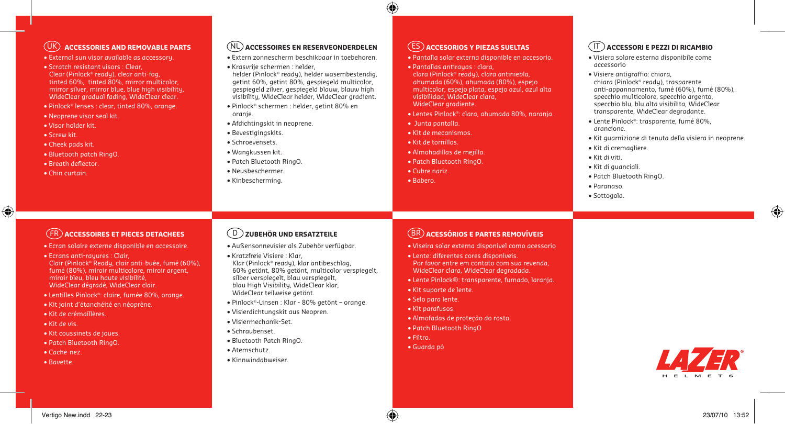## UK **ACCESSORIES AND REMOVABLE PARTS**

- External sun visor available as accessory.
- Scratch resistant visors : Clear, Clear (Pinlock® ready), clear anti-fog, tinted 60%, tinted 80%, mirror multicolor, mirror silver, mirror blue, blue high visibility, WideClear gradual fading, WideClear clear.
- Pinlock® lenses : clear, tinted 80%, orange.
- Neoprene visor seal kit.
- Visor holder kit.
- Screw kit.
- Cheek pads kit.
- Bluetooth patch RingO.
- Breath deflector.
- Chin curtain.

#### NL **ACCESSOIRES EN RESERVEONDERDELEN**

- Extern zonnescherm beschikbaar in toebehoren.
- Krasvrije schermen : helder,

helder (Pinlock® ready), helder wasembestendig, getint 60%, getint 80%, gespiegeld multicolor, gespiegeld zilver, gespiegeld blauw, blauw high visibility, WideClear helder, WideClear gradient.

- Pinlock® schermen : helder, getint 80% en oranje.
- Afdichtingskit in neoprene.
- Bevestigingskits.
- Schroevensets.
- Wangkussen kit.
- Patch Bluetooth RingO.
- Neusbeschermer.
- Kinbescherming.

## ES **ACCESORIOS Y PIEZAS SUELTAS**

• Pantalla solar externa disponible en accesorio.

- Pantallas antirayas : clara, clara (Pinlock® ready), clara antiniebla, ahumada (60%), ahumada (80%), espejo multicolor, espejo plata, espejo azul, azul alta visibilidad, WideClear clara, WideClear gradiente.
- Lentes Pinlock®: clara, ahumada 80%, naranja.
- Junta pantalla.
- Kit de mecanismos.
- Kit de tornillos.
- Almohadillas de mejilla.
- Patch Bluetooth RingO.
- Cubre nariz.
- Babero.

## IT **ACCESSORI E PEZZI DI RICAMBIO**

- Visiera solare esterna disponibile come accessorio
- Visiere antigraffio: chiara, chiara (Pinlock® ready), trasparente anti-appannamento, fumé (60%), fumé (80%), specchio multicolore, specchio argento, specchio blu, blu alta visibilita, WideClear transparente, WideClear degradante.
- Lente Pinlock®: trasparente, fumé 80%, arancione.
- Kit guarnizione di tenuta della visiera in neoprene.
- Kit di cremagliere.
- Kit di viti.
- Kit di guanciali.
- Patch Bluetooth RingO.
- Paranaso.
- Sottogola.

# ♦

## FR **ACCESSOIRES ET PIECES DETACHEES**

- Ecran solaire externe disponible en accessoire.
- Ecrans anti-rayures : Clair, Clair (Pinlock® Ready, clair anti-buée, fumé (60%), fumé (80%), miroir multicolore, miroir argent, miroir bleu, bleu haute visibilité, WideClear dégradé, WideClear clair.
- Lentilles Pinlock®: claire, fumée 80%, orange.
- Kit joint d'étanchéité en néoprène.
- Kit de crémaillères.
- Kit de vis.
- Kit coussinets de joues.
- Patch Bluetooth RingO.
- Cache-nez.
- Bavette.

## D **ZUBEHÖR UND ERSATZTEILE**

- Außensonnevisier als Zubehör verfügbar.
- Kratzfreie Visiere : Klar, Klar (Pinlock® ready), klar antibeschlag, 60% getönt, 80% getönt, multicolor verspiegelt, silber verspiegelt, blau verspiegelt, blau High Visibility, WideClear klar, WideClear teilweise getönt.
- Pinlock®-Linsen : Klar 80% getönt orange.
- Visierdichtungskit aus Neopren.
- Visiermechanik-Set.
- Schraubenset.
- Bluetooth Patch RingO.
- Atemschutz.
- Kinnwindabweiser.

#### BR **ACESSÓRIOS E PARTES REMOVÍVEIS**

- Viseira solar externa disponível como acessorio
- Lente: diferentes cores disponíveis. Por favor entre em contato com sua revenda, WideClear clara, WideClear degradada.
- Lente Pinlock®: transparente, fumado, laranja.
- Kit suporte de lente.
- Selo para lente.
- Kit parafusos.
- Almofadas de proteção do rosto.
- Patch Bluetooth RingO

• Filtro.

• Guarda pó